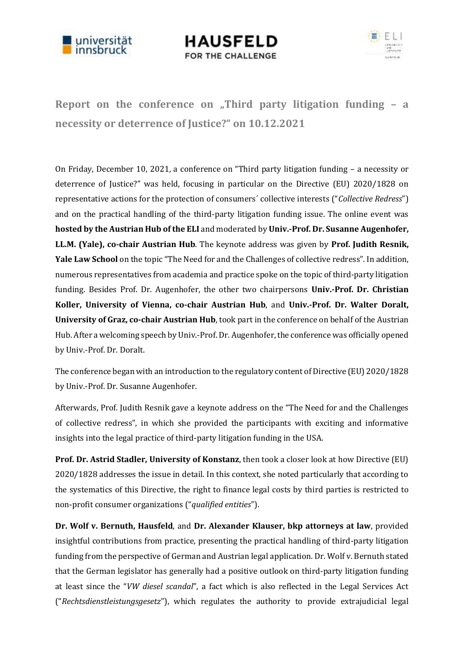

**HAUSFELD** FOR THE CHALLENGE



**Report on the conference on "Third party litigation funding – a necessity or deterrence of Justice?" on 10.12.2021**

On Friday, December 10, 2021, a conference on "Third party litigation funding – a necessity or deterrence of Justice?" was held, focusing in particular on the Directive (EU) 2020/1828 on representative actions for the protection of consumers´ collective interests ("*Collective Redress*") and on the practical handling of the third-party litigation funding issue. The online event was **hosted by the Austrian Hub of the ELI** and moderated by **Univ.-Prof. Dr. Susanne Augenhofer, LL.M. (Yale), co-chair Austrian Hub**. The keynote address was given by **Prof. Judith Resnik, Yale Law School** on the topic "The Need for and the Challenges of collective redress". In addition, numerous representatives from academia and practice spoke on the topic of third-party litigation funding. Besides Prof. Dr. Augenhofer, the other two chairpersons **Univ.-Prof. Dr. Christian Koller, University of Vienna, co-chair Austrian Hub**, and **Univ.-Prof. Dr. Walter Doralt, University of Graz, co-chair Austrian Hub**, took part in the conference on behalf of the Austrian Hub. After a welcoming speech by Univ.-Prof. Dr. Augenhofer, the conference was officially opened by Univ.-Prof. Dr. Doralt.

The conference began with an introduction to the regulatory content of Directive (EU) 2020/1828 by Univ.-Prof. Dr. Susanne Augenhofer.

Afterwards, Prof. Judith Resnik gave a keynote address on the "The Need for and the Challenges of collective redress", in which she provided the participants with exciting and informative insights into the legal practice of third-party litigation funding in the USA.

**Prof. Dr. Astrid Stadler, University of Konstanz**, then took a closer look at how Directive (EU) 2020/1828 addresses the issue in detail. In this context, she noted particularly that according to the systematics of this Directive, the right to finance legal costs by third parties is restricted to non-profit consumer organizations ("*qualified entities*").

**Dr. Wolf v. Bernuth, Hausfeld**, and **Dr. Alexander Klauser, bkp attorneys at law**, provided insightful contributions from practice, presenting the practical handling of third-party litigation funding from the perspective of German and Austrian legal application. Dr. Wolf v. Bernuth stated that the German legislator has generally had a positive outlook on third-party litigation funding at least since the "*VW diesel scandal*", a fact which is also reflected in the Legal Services Act ("*Rechtsdienstleistungsgesetz*"), which regulates the authority to provide extrajudicial legal